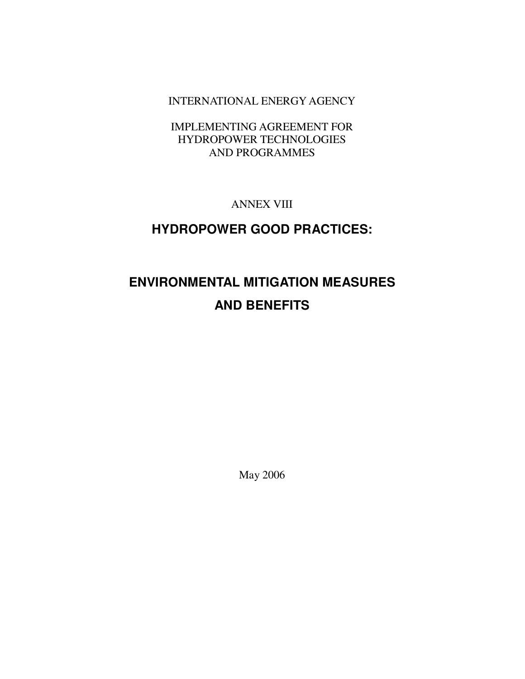INTERNATIONAL ENERGY AGENCY

IMPLEMENTING AGREEMENT FOR HYDROPOWER TECHNOLOGIES AND PROGRAMMES

ANNEX VIII

# **HYDROPOWER GOOD PRACTICES:**

# **ENVIRONMENTAL MITIGATION MEASURES AND BENEFITS**

May 2006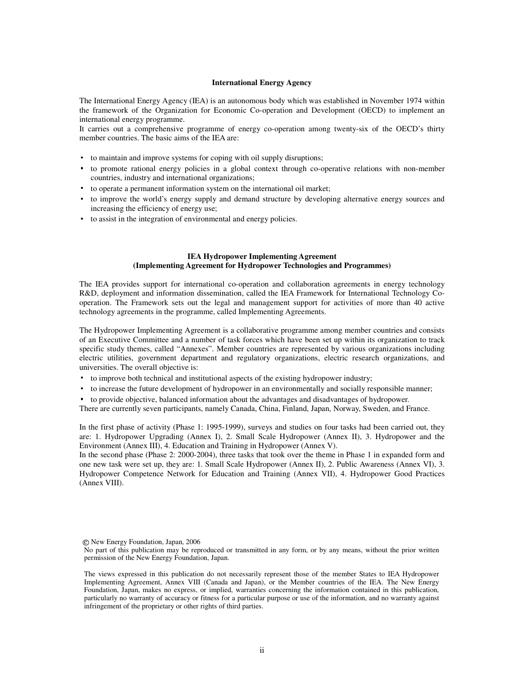#### **International Energy Agency**

The International Energy Agency (IEA) is an autonomous body which was established in November 1974 within the framework of the Organization for Economic Co-operation and Development (OECD) to implement an international energy programme.

It carries out a comprehensive programme of energy co-operation among twenty-six of the OECD's thirty member countries. The basic aims of the IEA are:

- to maintain and improve systems for coping with oil supply disruptions;
- ・ to promote rational energy policies in a global context through co-operative relations with non-member countries, industry and international organizations;
- ・ to operate a permanent information system on the international oil market;
- ・ to improve the world's energy supply and demand structure by developing alternative energy sources and increasing the efficiency of energy use;
- ・ to assist in the integration of environmental and energy policies.

#### **IEA Hydropower Implementing Agreement (Implementing Agreement for Hydropower Technologies and Programmes)**

The IEA provides support for international co-operation and collaboration agreements in energy technology R&D, deployment and information dissemination, called the IEA Framework for International Technology Cooperation. The Framework sets out the legal and management support for activities of more than 40 active technology agreements in the programme, called Implementing Agreements.

The Hydropower Implementing Agreement is a collaborative programme among member countries and consists of an Executive Committee and a number of task forces which have been set up within its organization to track specific study themes, called "Annexes". Member countries are represented by various organizations including electric utilities, government department and regulatory organizations, electric research organizations, and universities. The overall objective is:

- ・ to improve both technical and institutional aspects of the existing hydropower industry;
- to increase the future development of hydropower in an environmentally and socially responsible manner;
- ・ to provide objective, balanced information about the advantages and disadvantages of hydropower.

There are currently seven participants, namely Canada, China, Finland, Japan, Norway, Sweden, and France.

In the first phase of activity (Phase 1: 1995-1999), surveys and studies on four tasks had been carried out, they are: 1. Hydropower Upgrading (Annex I), 2. Small Scale Hydropower (Annex II), 3. Hydropower and the Environment (Annex III), 4. Education and Training in Hydropower (Annex V).

In the second phase (Phase 2: 2000-2004), three tasks that took over the theme in Phase 1 in expanded form and one new task were set up, they are: 1. Small Scale Hydropower (Annex II), 2. Public Awareness (Annex VI), 3. Hydropower Competence Network for Education and Training (Annex VII), 4. Hydropower Good Practices (Annex VIII).

c New Energy Foundation, Japan, 2006

No part of this publication may be reproduced or transmitted in any form, or by any means, without the prior written permission of the New Energy Foundation, Japan.

The views expressed in this publication do not necessarily represent those of the member States to IEA Hydropower Implementing Agreement, Annex VIII (Canada and Japan), or the Member countries of the IEA. The New Energy Foundation, Japan, makes no express, or implied, warranties concerning the information contained in this publication, particularly no warranty of accuracy or fitness for a particular purpose or use of the information, and no warranty against infringement of the proprietary or other rights of third parties.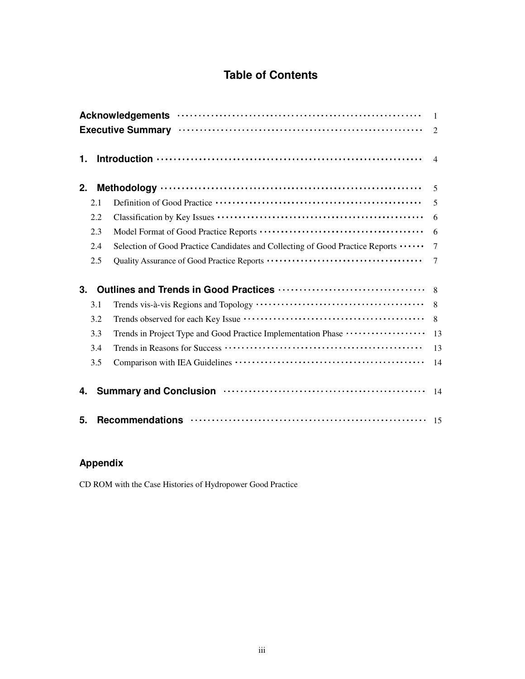# **Table of Contents**

|    |     |                                                                                                                                                                                                                                | $\overline{1}$<br>$\mathcal{L}$ |
|----|-----|--------------------------------------------------------------------------------------------------------------------------------------------------------------------------------------------------------------------------------|---------------------------------|
| 1. |     |                                                                                                                                                                                                                                | $\overline{4}$                  |
| 2. |     | Methodology $\cdots$ $\cdots$ $\cdots$ $\cdots$ $\cdots$ $\cdots$ $\cdots$ $\cdots$ $\cdots$ $\cdots$ $\cdots$ $\cdots$ $\cdots$ $\cdots$                                                                                      |                                 |
|    | 2.1 |                                                                                                                                                                                                                                | 5                               |
|    | 2.2 |                                                                                                                                                                                                                                | 6                               |
|    | 2.3 |                                                                                                                                                                                                                                | 6                               |
|    | 2.4 | Selection of Good Practice Candidates and Collecting of Good Practice Reports                                                                                                                                                  | $\overline{7}$                  |
|    | 2.5 |                                                                                                                                                                                                                                | $\overline{7}$                  |
| 3. |     |                                                                                                                                                                                                                                |                                 |
|    | 3.1 |                                                                                                                                                                                                                                | 8                               |
|    | 3.2 |                                                                                                                                                                                                                                | 8                               |
|    | 3.3 | Trends in Project Type and Good Practice Implementation Phase ··················                                                                                                                                               | 13                              |
|    | 3.4 |                                                                                                                                                                                                                                | 13                              |
|    | 3.5 |                                                                                                                                                                                                                                | 14                              |
| 4. |     | Summary and Conclusion (1000) (1000) (1000) (1000) (1000) (1000) (1000) (1000) (1000) (1000) (1000) (1000) (1000) (1000) (1000) (1000) (1000) (1000) (1000) (1000) (1000) (1000) (1000) (1000) (1000) (1000) (1000) (1000) (10 | 14                              |
| 5. |     |                                                                                                                                                                                                                                |                                 |

# **Appendix**

CD ROM with the Case Histories of Hydropower Good Practice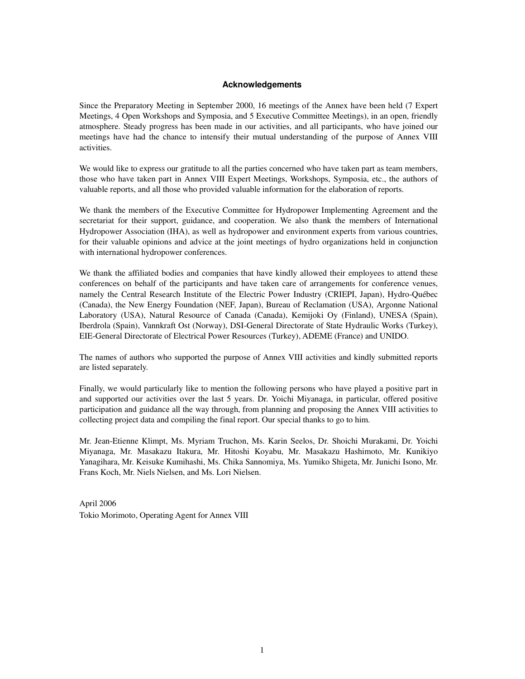#### **Acknowledgements**

Since the Preparatory Meeting in September 2000, 16 meetings of the Annex have been held (7 Expert Meetings, 4 Open Workshops and Symposia, and 5 Executive Committee Meetings), in an open, friendly atmosphere. Steady progress has been made in our activities, and all participants, who have joined our meetings have had the chance to intensify their mutual understanding of the purpose of Annex VIII activities.

We would like to express our gratitude to all the parties concerned who have taken part as team members, those who have taken part in Annex VIII Expert Meetings, Workshops, Symposia, etc., the authors of valuable reports, and all those who provided valuable information for the elaboration of reports.

We thank the members of the Executive Committee for Hydropower Implementing Agreement and the secretariat for their support, guidance, and cooperation. We also thank the members of International Hydropower Association (IHA), as well as hydropower and environment experts from various countries, for their valuable opinions and advice at the joint meetings of hydro organizations held in conjunction with international hydropower conferences.

We thank the affiliated bodies and companies that have kindly allowed their employees to attend these conferences on behalf of the participants and have taken care of arrangements for conference venues, namely the Central Research Institute of the Electric Power Industry (CRIEPI, Japan), Hydro-Québec (Canada), the New Energy Foundation (NEF, Japan), Bureau of Reclamation (USA), Argonne National Laboratory (USA), Natural Resource of Canada (Canada), Kemijoki Oy (Finland), UNESA (Spain), Iberdrola (Spain), Vannkraft Ost (Norway), DSI-General Directorate of State Hydraulic Works (Turkey), EIE-General Directorate of Electrical Power Resources (Turkey), ADEME (France) and UNIDO.

The names of authors who supported the purpose of Annex VIII activities and kindly submitted reports are listed separately.

Finally, we would particularly like to mention the following persons who have played a positive part in and supported our activities over the last 5 years. Dr. Yoichi Miyanaga, in particular, offered positive participation and guidance all the way through, from planning and proposing the Annex VIII activities to collecting project data and compiling the final report. Our special thanks to go to him.

Mr. Jean-Etienne Klimpt, Ms. Myriam Truchon, Ms. Karin Seelos, Dr. Shoichi Murakami, Dr. Yoichi Miyanaga, Mr. Masakazu Itakura, Mr. Hitoshi Koyabu, Mr. Masakazu Hashimoto, Mr. Kunikiyo Yanagihara, Mr. Keisuke Kumihashi, Ms. Chika Sannomiya, Ms. Yumiko Shigeta, Mr. Junichi Isono, Mr. Frans Koch, Mr. Niels Nielsen, and Ms. Lori Nielsen.

April 2006 Tokio Morimoto, Operating Agent for Annex VIII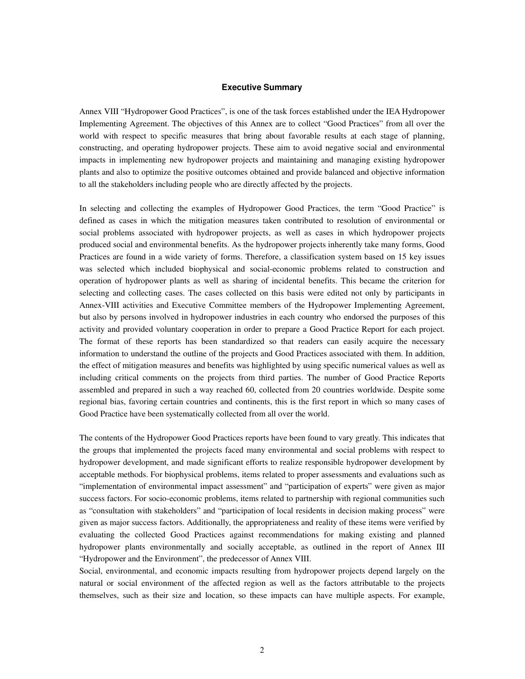#### **Executive Summary**

Annex VIII "Hydropower Good Practices", is one of the task forces established under the IEA Hydropower Implementing Agreement. The objectives of this Annex are to collect "Good Practices" from all over the world with respect to specific measures that bring about favorable results at each stage of planning, constructing, and operating hydropower projects. These aim to avoid negative social and environmental impacts in implementing new hydropower projects and maintaining and managing existing hydropower plants and also to optimize the positive outcomes obtained and provide balanced and objective information to all the stakeholders including people who are directly affected by the projects.

In selecting and collecting the examples of Hydropower Good Practices, the term "Good Practice" is defined as cases in which the mitigation measures taken contributed to resolution of environmental or social problems associated with hydropower projects, as well as cases in which hydropower projects produced social and environmental benefits. As the hydropower projects inherently take many forms, Good Practices are found in a wide variety of forms. Therefore, a classification system based on 15 key issues was selected which included biophysical and social-economic problems related to construction and operation of hydropower plants as well as sharing of incidental benefits. This became the criterion for selecting and collecting cases. The cases collected on this basis were edited not only by participants in Annex-VIII activities and Executive Committee members of the Hydropower Implementing Agreement, but also by persons involved in hydropower industries in each country who endorsed the purposes of this activity and provided voluntary cooperation in order to prepare a Good Practice Report for each project. The format of these reports has been standardized so that readers can easily acquire the necessary information to understand the outline of the projects and Good Practices associated with them. In addition, the effect of mitigation measures and benefits was highlighted by using specific numerical values as well as including critical comments on the projects from third parties. The number of Good Practice Reports assembled and prepared in such a way reached 60, collected from 20 countries worldwide. Despite some regional bias, favoring certain countries and continents, this is the first report in which so many cases of Good Practice have been systematically collected from all over the world.

The contents of the Hydropower Good Practices reports have been found to vary greatly. This indicates that the groups that implemented the projects faced many environmental and social problems with respect to hydropower development, and made significant efforts to realize responsible hydropower development by acceptable methods. For biophysical problems, items related to proper assessments and evaluations such as "implementation of environmental impact assessment" and "participation of experts" were given as major success factors. For socio-economic problems, items related to partnership with regional communities such as "consultation with stakeholders" and "participation of local residents in decision making process" were given as major success factors. Additionally, the appropriateness and reality of these items were verified by evaluating the collected Good Practices against recommendations for making existing and planned hydropower plants environmentally and socially acceptable, as outlined in the report of Annex III "Hydropower and the Environment", the predecessor of Annex VIII.

Social, environmental, and economic impacts resulting from hydropower projects depend largely on the natural or social environment of the affected region as well as the factors attributable to the projects themselves, such as their size and location, so these impacts can have multiple aspects. For example,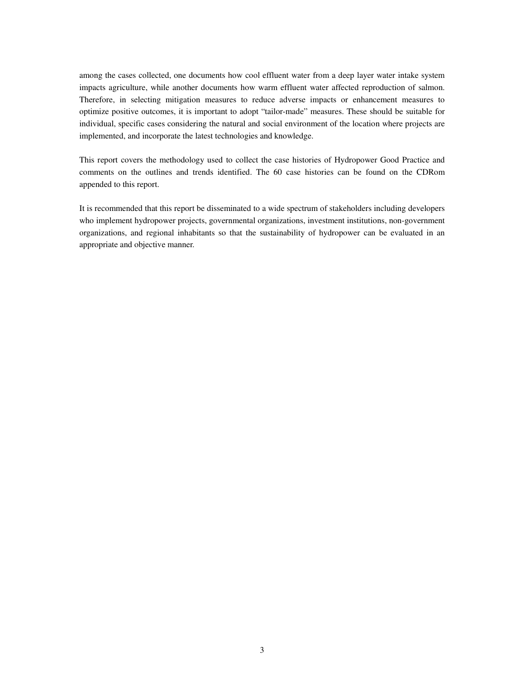among the cases collected, one documents how cool effluent water from a deep layer water intake system impacts agriculture, while another documents how warm effluent water affected reproduction of salmon. Therefore, in selecting mitigation measures to reduce adverse impacts or enhancement measures to optimize positive outcomes, it is important to adopt "tailor-made" measures. These should be suitable for individual, specific cases considering the natural and social environment of the location where projects are implemented, and incorporate the latest technologies and knowledge.

This report covers the methodology used to collect the case histories of Hydropower Good Practice and comments on the outlines and trends identified. The 60 case histories can be found on the CDRom appended to this report.

It is recommended that this report be disseminated to a wide spectrum of stakeholders including developers who implement hydropower projects, governmental organizations, investment institutions, non-government organizations, and regional inhabitants so that the sustainability of hydropower can be evaluated in an appropriate and objective manner.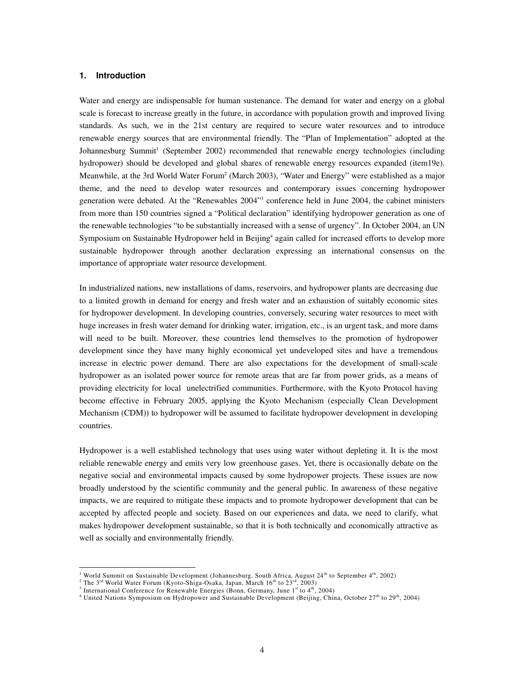#### **1. Introduction**

Water and energy are indispensable for human sustenance. The demand for water and energy on a global scale is forecast to increase greatly in the future, in accordance with population growth and improved living standards. As such, we in the 21st century are required to secure water resources and to introduce renewable energy sources that are environmental friendly. The "Plan of Implementation" adopted at the Johannesburg Summit<sup>1</sup> (September 2002) recommended that renewable energy technologies (including hydropower) should be developed and global shares of renewable energy resources expanded (item19e). Meanwhile, at the 3rd World Water Forum<sup>2</sup> (March 2003), "Water and Energy" were established as a major theme, and the need to develop water resources and contemporary issues concerning hydropower generation were debated. At the "Renewables 2004"<sup>3</sup> conference held in June 2004, the cabinet ministers from more than 150 countries signed a "Political declaration" identifying hydropower generation as one of the renewable technologies "to be substantially increased with a sense of urgency". In October 2004, an UN Symposium on Sustainable Hydropower held in Beijing<sup>4</sup> again called for increased efforts to develop more sustainable hydropower through another declaration expressing an international consensus on the importance of appropriate water resource development.

In industrialized nations, new installations of dams, reservoirs, and hydropower plants are decreasing due to a limited growth in demand for energy and fresh water and an exhaustion of suitably economic sites for hydropower development. In developing countries, conversely, securing water resources to meet with huge increases in fresh water demand for drinking water, irrigation, etc., is an urgent task, and more dams will need to be built. Moreover, these countries lend themselves to the promotion of hydropower development since they have many highly economical yet undeveloped sites and have a tremendous increase in electric power demand. There are also expectations for the development of small-scale hydropower as an isolated power source for remote areas that are far from power grids, as a means of providing electricity for local unelectrified communities. Furthermore, with the Kyoto Protocol having become effective in February 2005, applying the Kyoto Mechanism (especially Clean Development Mechanism (CDM)) to hydropower will be assumed to facilitate hydropower development in developing countries.

Hydropower is a well established technology that uses using water without depleting it. It is the most reliable renewable energy and emits very low greenhouse gases. Yet, there is occasionally debate on the negative social and environmental impacts caused by some hydropower projects. These issues are now broadly understood by the scientific community and the general public. In awareness of these negative impacts, we are required to mitigate these impacts and to promote hydropower development that can be accepted by affected people and society. Based on our experiences and data, we need to clarify, what makes hydropower development sustainable, so that it is both technically and economically attractive as well as socially and environmentally friendly.

 $\overline{a}$ 

<sup>&</sup>lt;sup>1</sup> World Summit on Sustainable Development (Johannesburg, South Africa, August 24<sup>th</sup> to September 4<sup>th</sup>, 2002)

<sup>&</sup>lt;sup>2</sup> The 3<sup>rd</sup> World Water Forum (Kyoto-Shiga-Osaka, Japan, March  $16<sup>th</sup>$  to  $23<sup>rd</sup>$ ,  $2003$ )

<sup>&</sup>lt;sup>3</sup> International Conference for Renewable Energies (Bonn, Germany, June  $1<sup>st</sup>$  to  $4<sup>th</sup>$ , 2004)

<sup>4</sup> United Nations Symposium on Hydropower and Sustainable Development (Beijing, China, October 27th to 29th, 2004)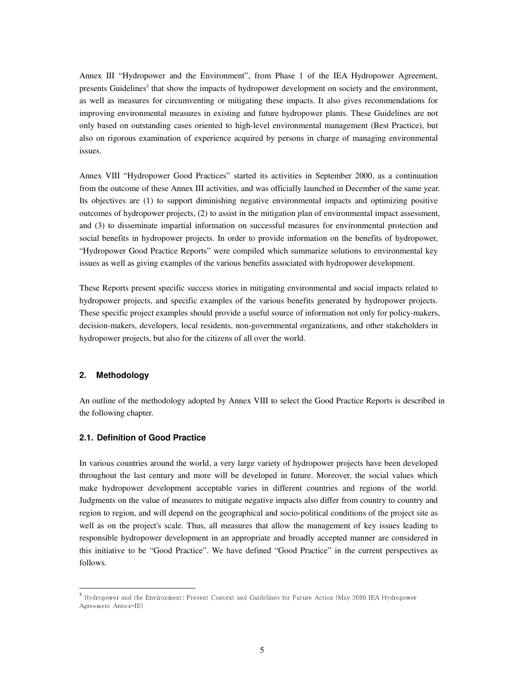Annex III "Hydropower and the Environment", from Phase 1 of the IEA Hydropower Agreement, presents Guidelines<sup>5</sup> that show the impacts of hydropower development on society and the environment, as well as measures for circumventing or mitigating these impacts. It also gives recommendations for improving environmental measures in existing and future hydropower plants. These Guidelines are not only based on outstanding cases oriented to high-level environmental management (Best Practice), but also on rigorous examination of experience acquired by persons in charge of managing environmental issues.

Annex VIII "Hydropower Good Practices" started its activities in September 2000, as a continuation from the outcome of these Annex III activities, and was officially launched in December of the same year. Its objectives are (1) to support diminishing negative environmental impacts and optimizing positive outcomes of hydropower projects, (2) to assist in the mitigation plan of environmental impact assessment, and (3) to disseminate impartial information on successful measures for environmental protection and social benefits in hydropower projects. In order to provide information on the benefits of hydropower, "Hydropower Good Practice Reports" were compiled which summarize solutions to environmental key issues as well as giving examples of the various benefits associated with hydropower development.

These Reports present specific success stories in mitigating environmental and social impacts related to hydropower projects, and specific examples of the various benefits generated by hydropower projects. These specific project examples should provide a useful source of information not only for policy-makers, decision-makers, developers, local residents, non-governmental organizations, and other stakeholders in hydropower projects, but also for the citizens of all over the world.

#### **2. Methodology**

 $\overline{a}$ 

An outline of the methodology adopted by Annex VIII to select the Good Practice Reports is described in the following chapter.

#### **2.1. Definition of Good Practice**

In various countries around the world, a very large variety of hydropower projects have been developed throughout the last century and more will be developed in future. Moreover, the social values which make hydropower development acceptable varies in different countries and regions of the world. Judgments on the value of measures to mitigate negative impacts also differ from country to country and region to region, and will depend on the geographical and socio-political conditions of the project site as well as on the project's scale. Thus, all measures that allow the management of key issues leading to responsible hydropower development in an appropriate and broadly accepted manner are considered in this initiative to be "Good Practice". We have defined "Good Practice" in the current perspectives as follows.

<sup>5</sup> Hydropower and the Environment: Present Context and Guidelines for Future Action (May 2000 IEA Hydropower Agreement Annex-III)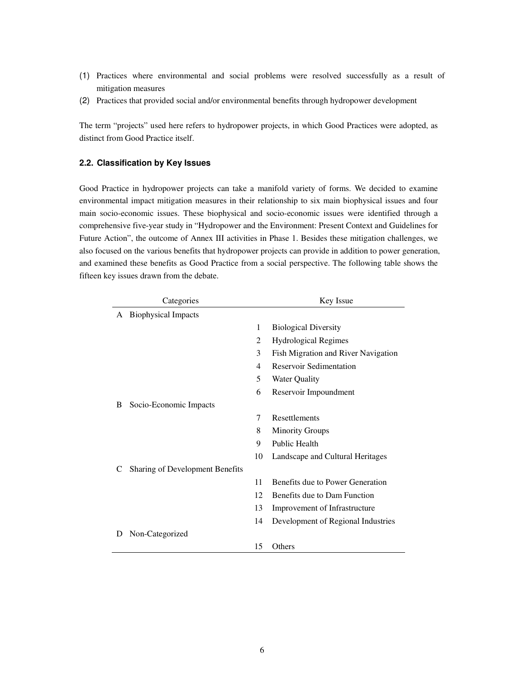- (1) Practices where environmental and social problems were resolved successfully as a result of mitigation measures
- (2) Practices that provided social and/or environmental benefits through hydropower development

The term "projects" used here refers to hydropower projects, in which Good Practices were adopted, as distinct from Good Practice itself.

#### **2.2. Classification by Key Issues**

Good Practice in hydropower projects can take a manifold variety of forms. We decided to examine environmental impact mitigation measures in their relationship to six main biophysical issues and four main socio-economic issues. These biophysical and socio-economic issues were identified through a comprehensive five-year study in "Hydropower and the Environment: Present Context and Guidelines for Future Action", the outcome of Annex III activities in Phase 1. Besides these mitigation challenges, we also focused on the various benefits that hydropower projects can provide in addition to power generation, and examined these benefits as Good Practice from a social perspective. The following table shows the fifteen key issues drawn from the debate.

|   | Categories                      |    | Key Issue                           |
|---|---------------------------------|----|-------------------------------------|
| A | <b>Biophysical Impacts</b>      |    |                                     |
|   |                                 | 1  | <b>Biological Diversity</b>         |
|   |                                 | 2  | <b>Hydrological Regimes</b>         |
|   |                                 | 3  | Fish Migration and River Navigation |
|   |                                 | 4  | Reservoir Sedimentation             |
|   |                                 | 5  | <b>Water Quality</b>                |
|   |                                 | 6  | Reservoir Impoundment               |
| B | Socio-Economic Impacts          |    |                                     |
|   |                                 | 7  | Resettlements                       |
|   |                                 | 8  | <b>Minority Groups</b>              |
|   |                                 | 9  | <b>Public Health</b>                |
|   |                                 | 10 | Landscape and Cultural Heritages    |
| C | Sharing of Development Benefits |    |                                     |
|   |                                 | 11 | Benefits due to Power Generation    |
|   |                                 | 12 | Benefits due to Dam Function        |
|   |                                 | 13 | Improvement of Infrastructure       |
|   |                                 | 14 | Development of Regional Industries  |
| D | Non-Categorized                 |    |                                     |
|   |                                 | 15 | Others                              |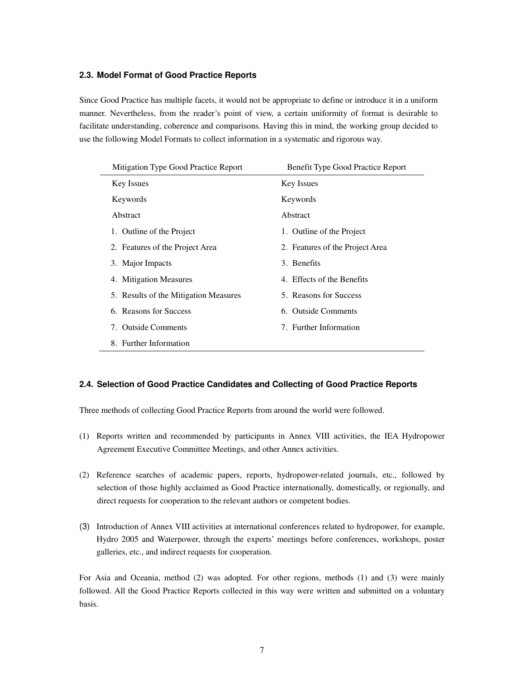#### **2.3. Model Format of Good Practice Reports**

Since Good Practice has multiple facets, it would not be appropriate to define or introduce it in a uniform manner. Nevertheless, from the reader's point of view, a certain uniformity of format is desirable to facilitate understanding, coherence and comparisons. Having this in mind, the working group decided to use the following Model Formats to collect information in a systematic and rigorous way.

| Mitigation Type Good Practice Report  | Benefit Type Good Practice Report |
|---------------------------------------|-----------------------------------|
| <b>Key Issues</b>                     | <b>Key Issues</b>                 |
| Keywords                              | Keywords                          |
| Abstract                              | Abstract                          |
| 1. Outline of the Project             | 1. Outline of the Project         |
| 2. Features of the Project Area       | 2. Features of the Project Area   |
| 3. Major Impacts                      | 3. Benefits                       |
| 4. Mitigation Measures                | 4. Effects of the Benefits        |
| 5. Results of the Mitigation Measures | 5. Reasons for Success            |
| 6. Reasons for Success                | 6. Outside Comments               |
| 7. Outside Comments                   | 7. Further Information            |
| 8. Further Information                |                                   |

#### **2.4. Selection of Good Practice Candidates and Collecting of Good Practice Reports**

Three methods of collecting Good Practice Reports from around the world were followed.

- (1) Reports written and recommended by participants in Annex VIII activities, the IEA Hydropower Agreement Executive Committee Meetings, and other Annex activities.
- (2) Reference searches of academic papers, reports, hydropower-related journals, etc., followed by selection of those highly acclaimed as Good Practice internationally, domestically, or regionally, and direct requests for cooperation to the relevant authors or competent bodies.
- (3) Introduction of Annex VIII activities at international conferences related to hydropower, for example, Hydro 2005 and Waterpower, through the experts' meetings before conferences, workshops, poster galleries, etc., and indirect requests for cooperation.

For Asia and Oceania, method (2) was adopted. For other regions, methods (1) and (3) were mainly followed. All the Good Practice Reports collected in this way were written and submitted on a voluntary basis.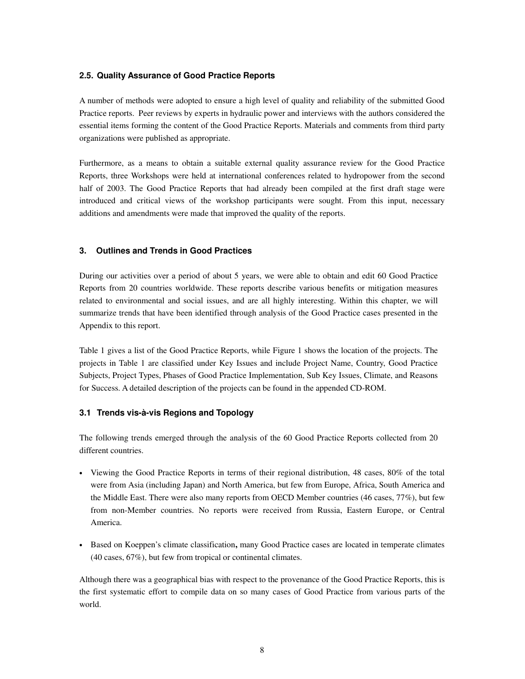#### **2.5. Quality Assurance of Good Practice Reports**

A number of methods were adopted to ensure a high level of quality and reliability of the submitted Good Practice reports. Peer reviews by experts in hydraulic power and interviews with the authors considered the essential items forming the content of the Good Practice Reports. Materials and comments from third party organizations were published as appropriate.

Furthermore, as a means to obtain a suitable external quality assurance review for the Good Practice Reports, three Workshops were held at international conferences related to hydropower from the second half of 2003. The Good Practice Reports that had already been compiled at the first draft stage were introduced and critical views of the workshop participants were sought. From this input, necessary additions and amendments were made that improved the quality of the reports.

#### **3. Outlines and Trends in Good Practices**

During our activities over a period of about 5 years, we were able to obtain and edit 60 Good Practice Reports from 20 countries worldwide. These reports describe various benefits or mitigation measures related to environmental and social issues, and are all highly interesting. Within this chapter, we will summarize trends that have been identified through analysis of the Good Practice cases presented in the Appendix to this report.

Table 1 gives a list of the Good Practice Reports, while Figure 1 shows the location of the projects. The projects in Table 1 are classified under Key Issues and include Project Name, Country, Good Practice Subjects, Project Types, Phases of Good Practice Implementation, Sub Key Issues, Climate, and Reasons for Success. A detailed description of the projects can be found in the appended CD-ROM.

#### **3.1 Trends vis-à-vis Regions and Topology**

The following trends emerged through the analysis of the 60 Good Practice Reports collected from 20 different countries.

- Viewing the Good Practice Reports in terms of their regional distribution, 48 cases, 80% of the total were from Asia (including Japan) and North America, but few from Europe, Africa, South America and the Middle East. There were also many reports from OECD Member countries (46 cases, 77%), but few from non-Member countries. No reports were received from Russia, Eastern Europe, or Central America.
- Based on Koeppen's climate classification**,** many Good Practice cases are located in temperate climates (40 cases, 67%), but few from tropical or continental climates.

Although there was a geographical bias with respect to the provenance of the Good Practice Reports, this is the first systematic effort to compile data on so many cases of Good Practice from various parts of the world.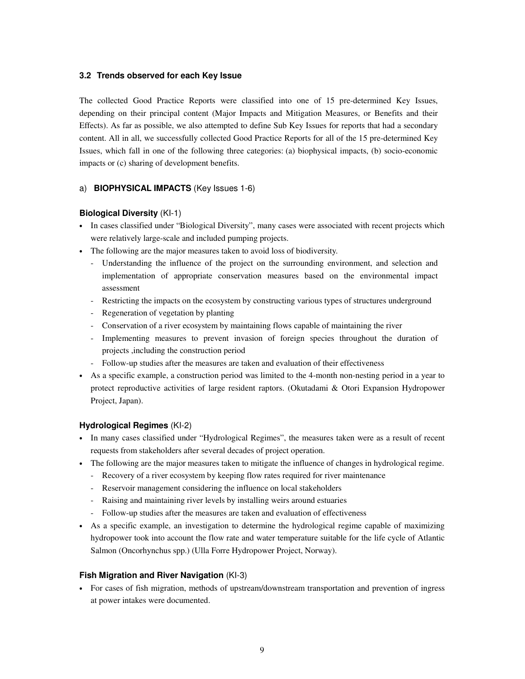#### **3.2 Trends observed for each Key Issue**

The collected Good Practice Reports were classified into one of 15 pre-determined Key Issues, depending on their principal content (Major Impacts and Mitigation Measures, or Benefits and their Effects). As far as possible, we also attempted to define Sub Key Issues for reports that had a secondary content. All in all, we successfully collected Good Practice Reports for all of the 15 pre-determined Key Issues, which fall in one of the following three categories: (a) biophysical impacts, (b) socio-economic impacts or (c) sharing of development benefits.

#### a) **BIOPHYSICAL IMPACTS** (Key Issues 1-6)

#### **Biological Diversity** (KI-1)

- In cases classified under "Biological Diversity", many cases were associated with recent projects which were relatively large-scale and included pumping projects.
- The following are the major measures taken to avoid loss of biodiversity.
	- Understanding the influence of the project on the surrounding environment, and selection and implementation of appropriate conservation measures based on the environmental impact assessment
	- Restricting the impacts on the ecosystem by constructing various types of structures underground
	- Regeneration of vegetation by planting
	- Conservation of a river ecosystem by maintaining flows capable of maintaining the river
	- Implementing measures to prevent invasion of foreign species throughout the duration of projects ,including the construction period
	- Follow-up studies after the measures are taken and evaluation of their effectiveness
- As a specific example, a construction period was limited to the 4-month non-nesting period in a year to protect reproductive activities of large resident raptors. (Okutadami & Otori Expansion Hydropower Project, Japan).

#### **Hydrological Regimes** (KI-2)

- In many cases classified under "Hydrological Regimes", the measures taken were as a result of recent requests from stakeholders after several decades of project operation.
- The following are the major measures taken to mitigate the influence of changes in hydrological regime.
	- Recovery of a river ecosystem by keeping flow rates required for river maintenance
	- Reservoir management considering the influence on local stakeholders
	- Raising and maintaining river levels by installing weirs around estuaries
	- Follow-up studies after the measures are taken and evaluation of effectiveness
- As a specific example, an investigation to determine the hydrological regime capable of maximizing hydropower took into account the flow rate and water temperature suitable for the life cycle of Atlantic Salmon (Oncorhynchus spp.) (Ulla Forre Hydropower Project, Norway).

#### **Fish Migration and River Navigation** (KI-3)

• For cases of fish migration, methods of upstream/downstream transportation and prevention of ingress at power intakes were documented.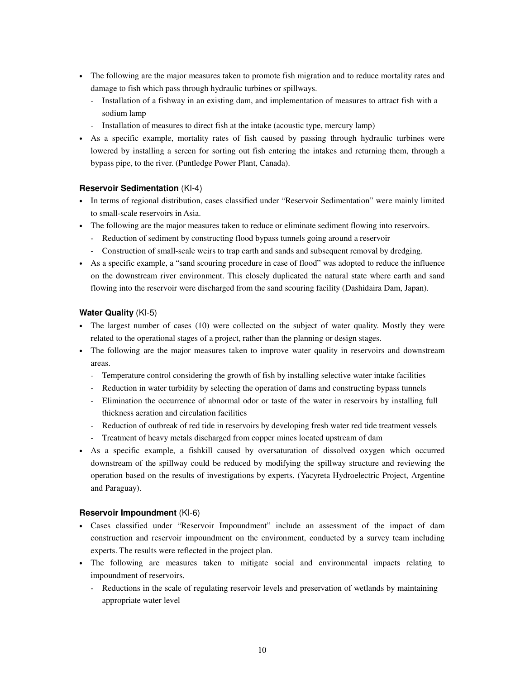- The following are the major measures taken to promote fish migration and to reduce mortality rates and damage to fish which pass through hydraulic turbines or spillways.
	- Installation of a fishway in an existing dam, and implementation of measures to attract fish with a sodium lamp
	- Installation of measures to direct fish at the intake (acoustic type, mercury lamp)
- As a specific example, mortality rates of fish caused by passing through hydraulic turbines were lowered by installing a screen for sorting out fish entering the intakes and returning them, through a bypass pipe, to the river. (Puntledge Power Plant, Canada).

#### **Reservoir Sedimentation** (KI-4)

- In terms of regional distribution, cases classified under "Reservoir Sedimentation" were mainly limited to small-scale reservoirs in Asia.
- The following are the major measures taken to reduce or eliminate sediment flowing into reservoirs.
	- Reduction of sediment by constructing flood bypass tunnels going around a reservoir
	- Construction of small-scale weirs to trap earth and sands and subsequent removal by dredging.
- As a specific example, a "sand scouring procedure in case of flood" was adopted to reduce the influence on the downstream river environment. This closely duplicated the natural state where earth and sand flowing into the reservoir were discharged from the sand scouring facility (Dashidaira Dam, Japan).

#### **Water Quality** (KI-5)

- The largest number of cases (10) were collected on the subject of water quality. Mostly they were related to the operational stages of a project, rather than the planning or design stages.
- The following are the major measures taken to improve water quality in reservoirs and downstream areas.
	- Temperature control considering the growth of fish by installing selective water intake facilities
	- Reduction in water turbidity by selecting the operation of dams and constructing bypass tunnels
	- Elimination the occurrence of abnormal odor or taste of the water in reservoirs by installing full thickness aeration and circulation facilities
	- Reduction of outbreak of red tide in reservoirs by developing fresh water red tide treatment vessels
	- Treatment of heavy metals discharged from copper mines located upstream of dam
- As a specific example, a fishkill caused by oversaturation of dissolved oxygen which occurred downstream of the spillway could be reduced by modifying the spillway structure and reviewing the operation based on the results of investigations by experts. (Yacyreta Hydroelectric Project, Argentine and Paraguay).

#### **Reservoir Impoundment** (KI-6)

- Cases classified under "Reservoir Impoundment" include an assessment of the impact of dam construction and reservoir impoundment on the environment, conducted by a survey team including experts. The results were reflected in the project plan.
- The following are measures taken to mitigate social and environmental impacts relating to impoundment of reservoirs.
	- Reductions in the scale of regulating reservoir levels and preservation of wetlands by maintaining appropriate water level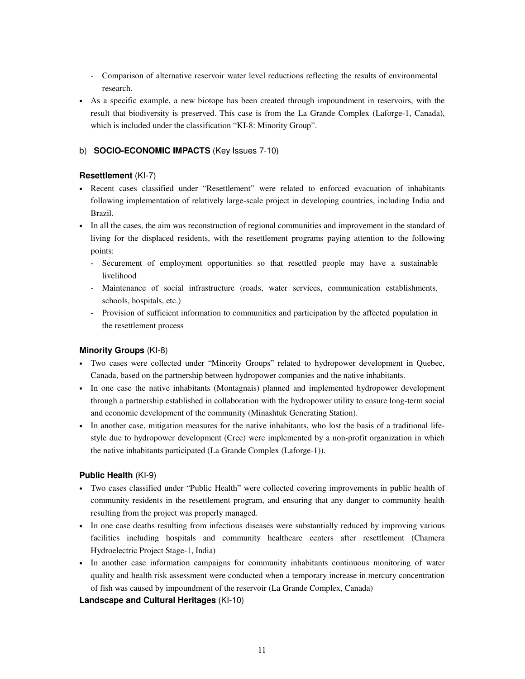- Comparison of alternative reservoir water level reductions reflecting the results of environmental research.
- As a specific example, a new biotope has been created through impoundment in reservoirs, with the result that biodiversity is preserved. This case is from the La Grande Complex (Laforge-1, Canada), which is included under the classification "KI-8: Minority Group".

#### b) **SOCIO-ECONOMIC IMPACTS** (Key Issues 7-10)

#### **Resettlement** (KI-7)

- Recent cases classified under "Resettlement" were related to enforced evacuation of inhabitants following implementation of relatively large-scale project in developing countries, including India and Brazil.
- In all the cases, the aim was reconstruction of regional communities and improvement in the standard of living for the displaced residents, with the resettlement programs paying attention to the following points:
	- Securement of employment opportunities so that resettled people may have a sustainable livelihood
	- Maintenance of social infrastructure (roads, water services, communication establishments, schools, hospitals, etc.)
	- Provision of sufficient information to communities and participation by the affected population in the resettlement process

#### **Minority Groups** (KI-8)

- Two cases were collected under "Minority Groups" related to hydropower development in Quebec, Canada, based on the partnership between hydropower companies and the native inhabitants.
- In one case the native inhabitants (Montagnais) planned and implemented hydropower development through a partnership established in collaboration with the hydropower utility to ensure long-term social and economic development of the community (Minashtuk Generating Station).
- In another case, mitigation measures for the native inhabitants, who lost the basis of a traditional lifestyle due to hydropower development (Cree) were implemented by a non-profit organization in which the native inhabitants participated (La Grande Complex (Laforge-1)).

#### **Public Health** (KI-9)

- Two cases classified under "Public Health" were collected covering improvements in public health of community residents in the resettlement program, and ensuring that any danger to community health resulting from the project was properly managed.
- In one case deaths resulting from infectious diseases were substantially reduced by improving various facilities including hospitals and community healthcare centers after resettlement (Chamera Hydroelectric Project Stage-1, India)
- In another case information campaigns for community inhabitants continuous monitoring of water quality and health risk assessment were conducted when a temporary increase in mercury concentration of fish was caused by impoundment of the reservoir (La Grande Complex, Canada)

#### **Landscape and Cultural Heritages** (KI-10)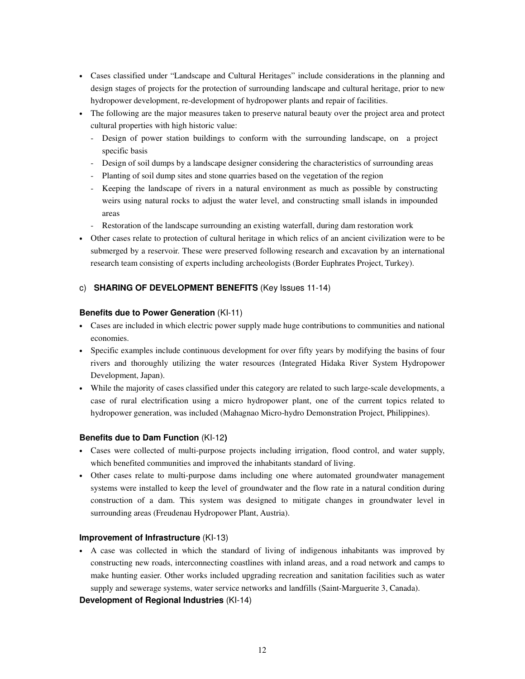- Cases classified under "Landscape and Cultural Heritages" include considerations in the planning and design stages of projects for the protection of surrounding landscape and cultural heritage, prior to new hydropower development, re-development of hydropower plants and repair of facilities.
- The following are the major measures taken to preserve natural beauty over the project area and protect cultural properties with high historic value:
	- Design of power station buildings to conform with the surrounding landscape, on a project specific basis
	- Design of soil dumps by a landscape designer considering the characteristics of surrounding areas
	- Planting of soil dump sites and stone quarries based on the vegetation of the region
	- Keeping the landscape of rivers in a natural environment as much as possible by constructing weirs using natural rocks to adjust the water level, and constructing small islands in impounded areas
	- Restoration of the landscape surrounding an existing waterfall, during dam restoration work
- Other cases relate to protection of cultural heritage in which relics of an ancient civilization were to be submerged by a reservoir. These were preserved following research and excavation by an international research team consisting of experts including archeologists (Border Euphrates Project, Turkey).

#### c) **SHARING OF DEVELOPMENT BENEFITS** (Key Issues 11-14)

#### **Benefits due to Power Generation** (KI-11)

- Cases are included in which electric power supply made huge contributions to communities and national economies.
- Specific examples include continuous development for over fifty years by modifying the basins of four rivers and thoroughly utilizing the water resources (Integrated Hidaka River System Hydropower Development, Japan).
- While the majority of cases classified under this category are related to such large-scale developments, a case of rural electrification using a micro hydropower plant, one of the current topics related to hydropower generation, was included (Mahagnao Micro-hydro Demonstration Project, Philippines).

#### **Benefits due to Dam Function** (KI-12**)**

- Cases were collected of multi-purpose projects including irrigation, flood control, and water supply, which benefited communities and improved the inhabitants standard of living.
- Other cases relate to multi-purpose dams including one where automated groundwater management systems were installed to keep the level of groundwater and the flow rate in a natural condition during construction of a dam. This system was designed to mitigate changes in groundwater level in surrounding areas (Freudenau Hydropower Plant, Austria).

#### **Improvement of Infrastructure** (KI-13)

• A case was collected in which the standard of living of indigenous inhabitants was improved by constructing new roads, interconnecting coastlines with inland areas, and a road network and camps to make hunting easier. Other works included upgrading recreation and sanitation facilities such as water supply and sewerage systems, water service networks and landfills (Saint-Marguerite 3, Canada).

#### **Development of Regional Industries** (KI-14)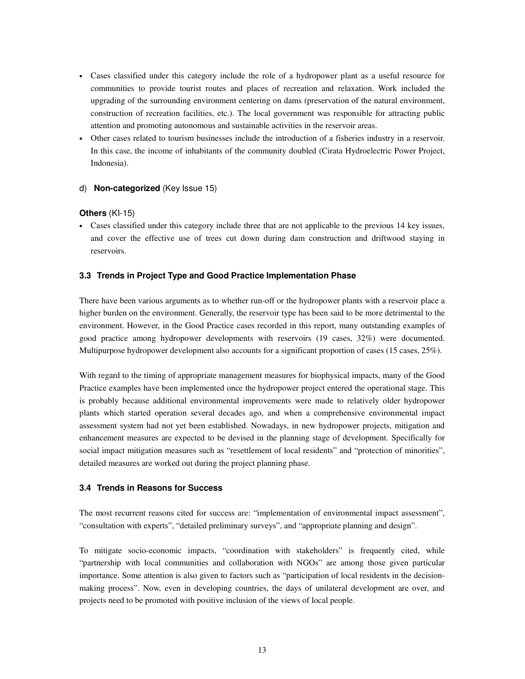- Cases classified under this category include the role of a hydropower plant as a useful resource for communities to provide tourist routes and places of recreation and relaxation. Work included the upgrading of the surrounding environment centering on dams (preservation of the natural environment, construction of recreation facilities, etc.). The local government was responsible for attracting public attention and promoting autonomous and sustainable activities in the reservoir areas.
- Other cases related to tourism businesses include the introduction of a fisheries industry in a reservoir. In this case, the income of inhabitants of the community doubled (Cirata Hydroelectric Power Project, Indonesia).

#### d) **Non-categorized** (Key Issue 15)

#### **Others** (KI-15)

• Cases classified under this category include three that are not applicable to the previous 14 key issues, and cover the effective use of trees cut down during dam construction and driftwood staying in reservoirs.

#### **3.3 Trends in Project Type and Good Practice Implementation Phase**

There have been various arguments as to whether run-off or the hydropower plants with a reservoir place a higher burden on the environment. Generally, the reservoir type has been said to be more detrimental to the environment. However, in the Good Practice cases recorded in this report, many outstanding examples of good practice among hydropower developments with reservoirs (19 cases, 32%) were documented. Multipurpose hydropower development also accounts for a significant proportion of cases (15 cases, 25%).

With regard to the timing of appropriate management measures for biophysical impacts, many of the Good Practice examples have been implemented once the hydropower project entered the operational stage. This is probably because additional environmental improvements were made to relatively older hydropower plants which started operation several decades ago, and when a comprehensive environmental impact assessment system had not yet been established. Nowadays, in new hydropower projects, mitigation and enhancement measures are expected to be devised in the planning stage of development. Specifically for social impact mitigation measures such as "resettlement of local residents" and "protection of minorities", detailed measures are worked out during the project planning phase.

#### **3.4 Trends in Reasons for Success**

The most recurrent reasons cited for success are: "implementation of environmental impact assessment", "consultation with experts", "detailed preliminary surveys", and "appropriate planning and design".

To mitigate socio-economic impacts, "coordination with stakeholders" is frequently cited, while "partnership with local communities and collaboration with NGOs" are among those given particular importance. Some attention is also given to factors such as "participation of local residents in the decisionmaking process". Now, even in developing countries, the days of unilateral development are over, and projects need to be promoted with positive inclusion of the views of local people.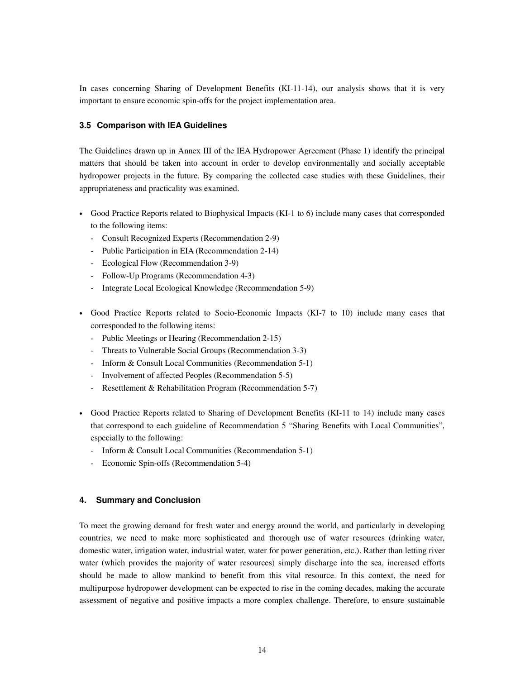In cases concerning Sharing of Development Benefits (KI-11-14), our analysis shows that it is very important to ensure economic spin-offs for the project implementation area.

#### **3.5 Comparison with IEA Guidelines**

The Guidelines drawn up in Annex III of the IEA Hydropower Agreement (Phase 1) identify the principal matters that should be taken into account in order to develop environmentally and socially acceptable hydropower projects in the future. By comparing the collected case studies with these Guidelines, their appropriateness and practicality was examined.

- Good Practice Reports related to Biophysical Impacts (KI-1 to 6) include many cases that corresponded to the following items:
	- Consult Recognized Experts (Recommendation 2-9)
	- Public Participation in EIA (Recommendation 2-14)
	- Ecological Flow (Recommendation 3-9)
	- Follow-Up Programs (Recommendation 4-3)
	- Integrate Local Ecological Knowledge (Recommendation 5-9)
- Good Practice Reports related to Socio-Economic Impacts (KI-7 to 10) include many cases that corresponded to the following items:
	- Public Meetings or Hearing (Recommendation 2-15)
	- Threats to Vulnerable Social Groups (Recommendation 3-3)
	- Inform & Consult Local Communities (Recommendation 5-1)
	- Involvement of affected Peoples (Recommendation 5-5)
	- Resettlement & Rehabilitation Program (Recommendation 5-7)
- Good Practice Reports related to Sharing of Development Benefits (KI-11 to 14) include many cases that correspond to each guideline of Recommendation 5 "Sharing Benefits with Local Communities", especially to the following:
	- Inform & Consult Local Communities (Recommendation 5-1)
	- Economic Spin-offs (Recommendation 5-4)

#### **4. Summary and Conclusion**

To meet the growing demand for fresh water and energy around the world, and particularly in developing countries, we need to make more sophisticated and thorough use of water resources (drinking water, domestic water, irrigation water, industrial water, water for power generation, etc.). Rather than letting river water (which provides the majority of water resources) simply discharge into the sea, increased efforts should be made to allow mankind to benefit from this vital resource. In this context, the need for multipurpose hydropower development can be expected to rise in the coming decades, making the accurate assessment of negative and positive impacts a more complex challenge. Therefore, to ensure sustainable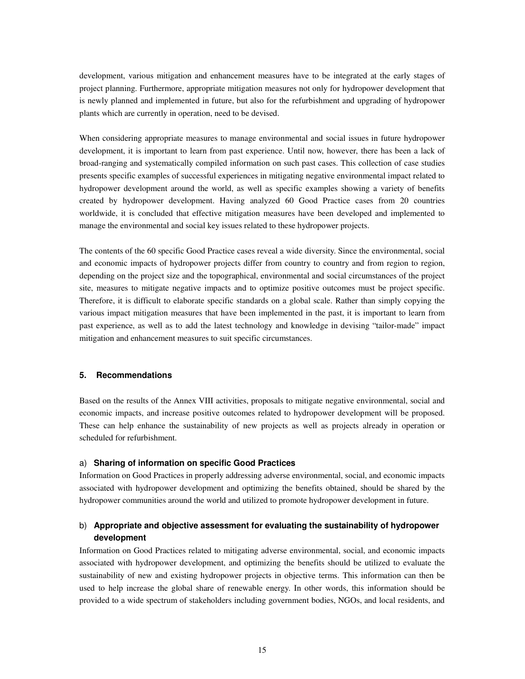development, various mitigation and enhancement measures have to be integrated at the early stages of project planning. Furthermore, appropriate mitigation measures not only for hydropower development that is newly planned and implemented in future, but also for the refurbishment and upgrading of hydropower plants which are currently in operation, need to be devised.

When considering appropriate measures to manage environmental and social issues in future hydropower development, it is important to learn from past experience. Until now, however, there has been a lack of broad-ranging and systematically compiled information on such past cases. This collection of case studies presents specific examples of successful experiences in mitigating negative environmental impact related to hydropower development around the world, as well as specific examples showing a variety of benefits created by hydropower development. Having analyzed 60 Good Practice cases from 20 countries worldwide, it is concluded that effective mitigation measures have been developed and implemented to manage the environmental and social key issues related to these hydropower projects.

The contents of the 60 specific Good Practice cases reveal a wide diversity. Since the environmental, social and economic impacts of hydropower projects differ from country to country and from region to region, depending on the project size and the topographical, environmental and social circumstances of the project site, measures to mitigate negative impacts and to optimize positive outcomes must be project specific. Therefore, it is difficult to elaborate specific standards on a global scale. Rather than simply copying the various impact mitigation measures that have been implemented in the past, it is important to learn from past experience, as well as to add the latest technology and knowledge in devising "tailor-made" impact mitigation and enhancement measures to suit specific circumstances.

#### **5. Recommendations**

Based on the results of the Annex VIII activities, proposals to mitigate negative environmental, social and economic impacts, and increase positive outcomes related to hydropower development will be proposed. These can help enhance the sustainability of new projects as well as projects already in operation or scheduled for refurbishment.

#### a) **Sharing of information on specific Good Practices**

Information on Good Practices in properly addressing adverse environmental, social, and economic impacts associated with hydropower development and optimizing the benefits obtained, should be shared by the hydropower communities around the world and utilized to promote hydropower development in future.

#### b) **Appropriate and objective assessment for evaluating the sustainability of hydropower development**

Information on Good Practices related to mitigating adverse environmental, social, and economic impacts associated with hydropower development, and optimizing the benefits should be utilized to evaluate the sustainability of new and existing hydropower projects in objective terms. This information can then be used to help increase the global share of renewable energy. In other words, this information should be provided to a wide spectrum of stakeholders including government bodies, NGOs, and local residents, and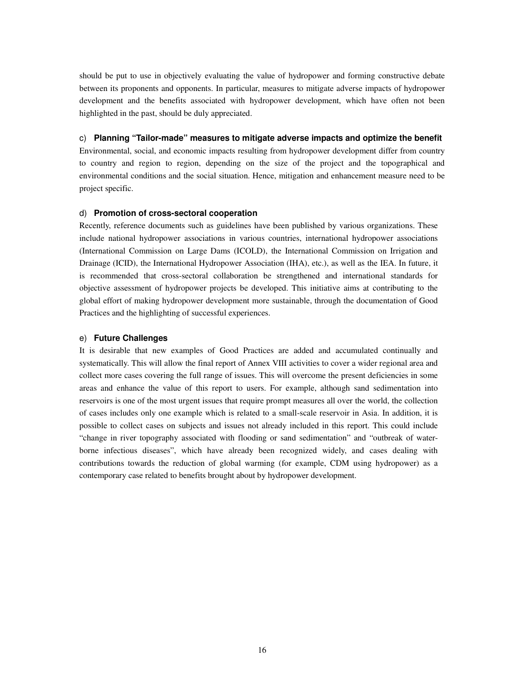should be put to use in objectively evaluating the value of hydropower and forming constructive debate between its proponents and opponents. In particular, measures to mitigate adverse impacts of hydropower development and the benefits associated with hydropower development, which have often not been highlighted in the past, should be duly appreciated.

#### c) **Planning "Tailor-made" measures to mitigate adverse impacts and optimize the benefit**

Environmental, social, and economic impacts resulting from hydropower development differ from country to country and region to region, depending on the size of the project and the topographical and environmental conditions and the social situation. Hence, mitigation and enhancement measure need to be project specific.

#### d) **Promotion of cross-sectoral cooperation**

Recently, reference documents such as guidelines have been published by various organizations. These include national hydropower associations in various countries, international hydropower associations (International Commission on Large Dams (ICOLD), the International Commission on Irrigation and Drainage (ICID), the International Hydropower Association (IHA), etc.), as well as the IEA. In future, it is recommended that cross-sectoral collaboration be strengthened and international standards for objective assessment of hydropower projects be developed. This initiative aims at contributing to the global effort of making hydropower development more sustainable, through the documentation of Good Practices and the highlighting of successful experiences.

#### e) **Future Challenges**

It is desirable that new examples of Good Practices are added and accumulated continually and systematically. This will allow the final report of Annex VIII activities to cover a wider regional area and collect more cases covering the full range of issues. This will overcome the present deficiencies in some areas and enhance the value of this report to users. For example, although sand sedimentation into reservoirs is one of the most urgent issues that require prompt measures all over the world, the collection of cases includes only one example which is related to a small-scale reservoir in Asia. In addition, it is possible to collect cases on subjects and issues not already included in this report. This could include "change in river topography associated with flooding or sand sedimentation" and "outbreak of waterborne infectious diseases", which have already been recognized widely, and cases dealing with contributions towards the reduction of global warming (for example, CDM using hydropower) as a contemporary case related to benefits brought about by hydropower development.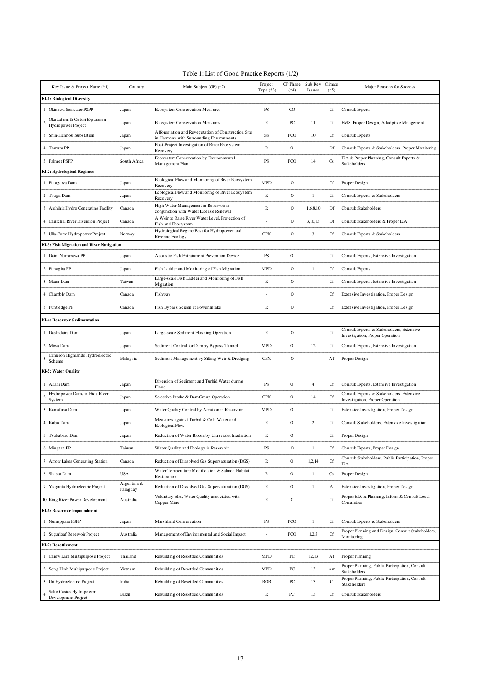| Key Issue & Project Name (*1)                      | Country                 | Main Subject (GP) (*2)                                                                          | Project<br>Type $(*3)$   | GP Phase<br>$(*4)$ | Sub Key<br>Issues | Climate<br>$(*5)$ | Major Reasons for Success                                                    |
|----------------------------------------------------|-------------------------|-------------------------------------------------------------------------------------------------|--------------------------|--------------------|-------------------|-------------------|------------------------------------------------------------------------------|
| KI-1: Biological Diversity                         |                         |                                                                                                 |                          |                    |                   |                   |                                                                              |
| Okinawa Seawater PSPP                              | Japan                   | Ecosystem Conservation Measures                                                                 | <b>PS</b>                | $\rm CO$           |                   | Cf                | Consult Experts                                                              |
| Okutadami & Ohtori Expansion<br>Hydropower Project | Japan                   | Ecosystem Conservation Measures                                                                 | R                        | ${\sf PC}$         | 11                | Cf                | EMS, Proper Design, Adadptive Mnagement                                      |
| 3 Shin-Hannou Substation                           | Japan                   | Afforestation and Revegetation of Construction Site<br>in Harmony with Surrounding Environments | $\rm SS$                 | PCO                | 10                | Cf                | <b>Consult Experts</b>                                                       |
| 4 Tomura PP                                        | Japan                   | Post-Project Investigation of River Ecosystem<br>Recovery                                       | $\mathbb R$              | $\mathbf{O}$       |                   | Df                | Consult Experts & Stakeholders, Proper Monitering                            |
| 5 Palmiet PSPP                                     | South Africa            | Ecosystem Conservation by Environmental<br>Management Plan                                      | PS                       | PCO                | 14                | $\mathbf{C}$ s    | EIA & Proper Planning, Consult Experts &<br>Stakeholders                     |
| KI-2: Hydrological Regimes                         |                         |                                                                                                 |                          |                    |                   |                   |                                                                              |
| 1 Futagawa Dam                                     | Japan                   | Ecological Flow and Monitoring of River Ecosystem<br>Recovery                                   | <b>MPD</b>               | $\mathbf{O}$       |                   | Cf                | Proper Design                                                                |
| 2 Tsuga Dam                                        | Japan                   | Ecological Flow and Monitoring of River Ecosystem<br>Recovery                                   | $\mathbb R$              | $\mathbf{O}$       | 1                 | Cf                | Consult Experts & Stakeholders                                               |
| 3 Aishihik Hydro Generating Facility               | Canada                  | High Water Management in Reservoir in<br>conjunction with Water License Renewal                 | $\mathbb R$              | 0                  | 1,6,8,10          | Df                | <b>Consult Stakeholders</b>                                                  |
| 4 Churchill River Diversion Project                | Canada                  | A Weir to Raise River Water Level, Protection of<br>Fish and Ecosystem                          |                          | $\mathbf{O}$       | 3, 10, 13         | Df                | Consult Stakeholders & Proper EIA                                            |
| 5 Ulla-Forre Hydropower Project                    | Norway                  | Hydrological Regime Best for Hydropower and<br>Riverine Ecology                                 | <b>CPX</b>               | $\mathbf{O}$       | 3                 | Cf                | Consult Experts & Stakeholders                                               |
| KI-3: Fish Migration and River Navigation          |                         |                                                                                                 |                          |                    |                   |                   |                                                                              |
| 1 Daini Numazawa PP                                | Japan                   | Acoustic Fish Entrainment Prevention Device                                                     | <b>PS</b>                | $\mathbf O$        |                   | Cf                | Consult Experts, Extensive Investigation                                     |
| 2 Funagira PP                                      | Japan                   | Fish Ladder and Monitoring of Fish Migration                                                    | <b>MPD</b>               | $\mathbf{O}$       | 1                 | Cf                | Consult Experts                                                              |
| 3 Maan Dam                                         | Taiwan                  | Large-scale Fish Ladder and Monitoring of Fish<br>Migration                                     | R                        | $\mathbf{O}$       |                   | Cf                | Consult Experts, Extensive Investigation                                     |
| 4 Chambly Dam                                      | Canada                  | Fishway                                                                                         |                          | $\mathbf{O}$       |                   | Cf                | Extensive Investigation, Proper Design                                       |
| 5 Puntledge PP                                     | Canada                  | Fish Bypass Screen at Power Intake                                                              | $\mathbb R$              | $\mathbf{O}$       |                   | <b>Cf</b>         | Extensive Investigation, Proper Design                                       |
| KI-4: Reservoir Sedimentation                      |                         |                                                                                                 |                          |                    |                   |                   |                                                                              |
| 1 Dashidaira Dam                                   | Japan                   | Large-scale Sediment Flushing Operation                                                         | R                        | $\mathbf{O}$       |                   | Cf                | Consult Experts & Stakeholders, Extensive<br>Investigation, Proper Operation |
| 2 Miwa Dam                                         | Japan                   | Sediment Control for Dam by Bypass Tunnel                                                       | MPD                      | $\mathbf{O}$       | 12                | Cf                | Consult Experts, Extensive Investigation                                     |
| Cameron Highlands Hydroelectric<br>Scheme          | Malaysia                | Sediment Management by Silting Weir & Dredging                                                  | <b>CPX</b>               | $\mathbf O$        |                   | Af                | Proper Design                                                                |
| <b>KI-5: Water Quality</b>                         |                         |                                                                                                 |                          |                    |                   |                   |                                                                              |
| 1 Asahi Dam                                        | Japan                   | Diversion of Sediment and Turbid Water during<br>Flood                                          | $\overline{\mathrm{PS}}$ | $\mathbf{O}$       | 4                 | Cf                | Consult Experts, Extensive Investigation                                     |
| Hydropower Dams in Hida River<br>System            | Japan                   | Selective Intake & Dam Group Operation                                                          | <b>CPX</b>               | $\mathbf{O}$       | 14                | <b>Cf</b>         | Consult Experts & Stakeholders, Extensive<br>Investigation, Proper Operation |
| 3 Kamafusa Dam                                     | Japan                   | Water Quality Control by Aeration in Reservoir                                                  | MPD                      | $\mathbf{O}$       |                   | Cf                | Extensive Investigation, Proper Design                                       |
| 4 Kobo Dam                                         | Japan                   | Measures against Turbid & Cold Water and<br>Ecological Flow                                     | R                        | $\mathbf{O}$       | 2                 | Cf                | Consult Stakeholders, Extensive Investigation                                |
| 5 Tsukabaru Dam                                    | Japan                   | Reduction of Water Bloom by Ultraviolet Irradiation                                             | R                        | $\mathbf{O}$       |                   | Cf                | Proper Design                                                                |
| 6 Mingtan PP                                       | Taiwan                  | Water Quality and Ecology in Reservoir                                                          | $\mathbf{P}\mathbf{S}$   | $\mathbf{O}$       | 1                 | Cf                | Consult Experts, Proper Design                                               |
| 7 Arrow Lakes Generating Station                   | Canada                  | Reduction of Dissolved Gas Supersaturation (DGS)                                                | R                        | $\mathbf{O}$       | 1,2,14            | $_{\rm {Cf}}$     | Consult Stakeholders, Public Participation, Proper<br>EIA                    |
| 8 Shasta Dam                                       | <b>USA</b>              | Water Temperature Modification & Salmon Habitat<br>Restoration                                  | R                        | $\mathbf{O}$       | 1                 | <b>Cs</b>         | Proper Design                                                                |
| 9 Yacyreta Hydroelectric Project                   | Argentina &<br>Paraguay | Reduction of Dissolved Gas Supersaturation (DGS)                                                | $\mathbb R$              | $\mathbf{O}$       | -1                | A                 | Extensive Investigation, Proper Design                                       |
| 10 King River Power Development                    | Australia               | Voluntary EIA, Water Quality associated with<br>Copper Mine                                     | R                        | $\mathbf C$        |                   | <b>Cf</b>         | Proper EIA & Planning, Inform & Consult Local<br>Comunities                  |
| KI-6: Reservoir Impoundment                        |                         |                                                                                                 |                          |                    |                   |                   |                                                                              |

| Numappara PSPP                                 | Japan     | Marshland Conservation                        | PS                       | <b>PCO</b> |       | Cf         | Consult Experts & Stakeholders                                        |
|------------------------------------------------|-----------|-----------------------------------------------|--------------------------|------------|-------|------------|-----------------------------------------------------------------------|
| 2 Sugarloaf Reservoir Project                  | Australia | Management of Environmental and Social Impact | $\overline{\phantom{a}}$ | PCO        | 1,2,5 | Cf         | Proper Planning and Design, Consult Stakeholders,<br>Monitoring       |
| KI-7: Resettlement                             |           |                                               |                          |            |       |            |                                                                       |
| Chiew Larn Multipurpose Project                | Thailand  | Rebuilding of Resettled Communities           | <b>MPD</b>               | PC         | 12,13 | Af         | Proper Planning                                                       |
| 2 Song Hinh Multipurpose Project               | Vietnam   | Rebuilding of Resettled Communities           | <b>MPD</b>               | PC         | 13    | Am         | Proper Planning, Public Participation, Consult<br><b>Stakeholders</b> |
| 3 Uri Hydroelectric Project                    | India     | Rebuilding of Resettled Communities           | <b>ROR</b>               | PC         | 13    | $\sqrt{2}$ | Proper Planning, Public Participation, Consult<br>Stakeholders        |
| Salto Caxias Hydropower<br>Development Project | Brazil    | Rebuilding of Resettled Communities           | R                        | PC         | 13    | Cf         | Consult Stakeholders                                                  |

# Table 1: List of Good Practice Reports (1/2)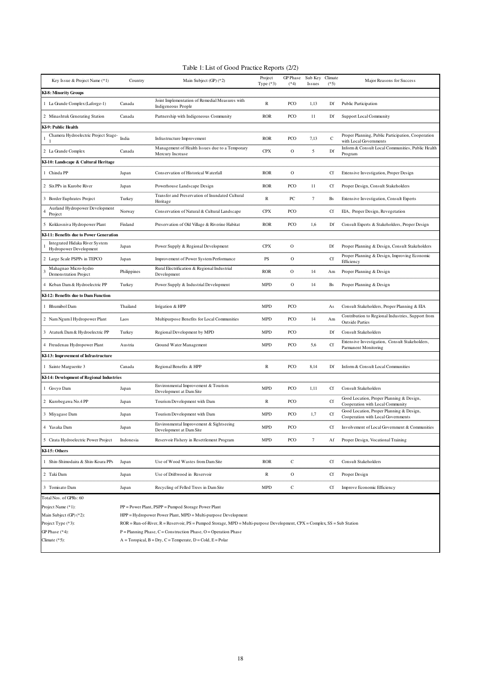| Key Issue & Project Name (*1)                            | Country     | Main Subject $(GP)(*2)$                                              | Project<br>Type $(*3)$ | GP Phase<br>$(*4)$ | Sub Key Climate<br><i>Issues</i> | $(*5)$        | Major Reasons for Success                                                      |
|----------------------------------------------------------|-------------|----------------------------------------------------------------------|------------------------|--------------------|----------------------------------|---------------|--------------------------------------------------------------------------------|
| <b>KI-8: Minority Groups</b>                             |             |                                                                      |                        |                    |                                  |               |                                                                                |
| 1 La Grande Complex (Laforge-1)                          | Canada      | Joint Implementation of Remedial Measures with<br>Indigeneous People | $\mathbb{R}$           | PCO                | 1,13                             | Df            | Public Participation                                                           |
| 2 Minashtuk Generating Station                           | Canada      | Partnership with Indigeneous Community                               | <b>ROR</b>             | <b>PCO</b>         | 11                               | Df            | <b>Support Local Community</b>                                                 |
| KI-9: Public Health                                      |             |                                                                      |                        |                    |                                  |               |                                                                                |
| Chamera Hydroelectric Project Stage-                     | India       | Infrastructure Improvement                                           | <b>ROR</b>             | PCO                | 7,13                             | $\mathcal{C}$ | Proper Planning, Public Participation, Cooperation<br>with Local Governments   |
| 2 La Grande Complex                                      | Canada      | Management of Health Issues due to a Temporary<br>Mercury Increase   | <b>CPX</b>             | $\mathbf{O}$       | 5                                | Df            | Inform & Consult Local Communities, Public Health<br>Program                   |
| KI-10: Landscape & Cultural Heritage                     |             |                                                                      |                        |                    |                                  |               |                                                                                |
| 1 Chinda PP                                              | Japan       | Conservation of Historical Waterfall                                 | <b>ROR</b>             | $\mathbf{O}$       |                                  | <b>Cf</b>     | Extensive Investigation, Proper Design                                         |
| 2 Six PPs in Kurobe River                                | Japan       | Powerhouse Landscape Design                                          | <b>ROR</b>             | <b>PCO</b>         | 11                               | <b>Cf</b>     | Proper Design, Consult Stakeholders                                            |
| 3 Border Euphrates Project                               | Turkey      | Transfer and Preservation of Inundated Cultural<br>Heritage          | $\mathbb{R}$           | PC                 | 7                                | Bs            | Extensive Investigation, Consult Experts                                       |
| Aurland Hydropower Development<br>Project                | Norway      | Conservation of Natural & Cultural Landscape                         | <b>CPX</b>             | PCO                |                                  | <b>Cf</b>     | EIA, Proper Design, Revegetation                                               |
| 5 Kokkosniva Hydropower Plant                            | Finland     | Preservation of Old Village & Riverine Habitat                       | <b>ROR</b>             | PCO                | 1,6                              | Df            | Consult Experts & Stakeholders, Proper Design                                  |
| KI-11: Benefits due to Power Generation                  |             |                                                                      |                        |                    |                                  |               |                                                                                |
| Integrated Hidaka River System<br>Hydropower Development | Japan       | Power Supply & Regional Development                                  | <b>CPX</b>             | 0                  |                                  | Df            | Proper Planning & Design, Consult Stakeholders                                 |
| 2 Large Scale PSPPs in TEPCO                             | Japan       | Improvement of Power System Performance                              | PS                     | $\mathbf{O}$       |                                  | <b>Cf</b>     | Proper Planning & Design, Improving Economic<br>Efficiency                     |
| Mahagnao Micro-hydro<br>Demonstration Project            | Philippines | Rural Electrification & Regional Industrial<br>Development           | <b>ROR</b>             | 0                  | 14                               | Am            | Proper Planning & Design                                                       |
| 4 Keban Dam & Hydroelectric PP                           | Turkey      | Power Supply & Industrial Development                                | <b>MPD</b>             | $\mathbf{O}$       | 14                               | Bs            | Proper Planning & Design                                                       |
| KI-12: Benefits due to Dam Function                      |             |                                                                      |                        |                    |                                  |               |                                                                                |
| 1 Bhumibol Dam                                           | Thailand    | Irrigation & HPP                                                     | <b>MPD</b>             | PCO                |                                  | As            | Consult Stakeholders, Proper Planning & EIA                                    |
| 2 Nam Ngum I Hydropower Plant                            | Laos        | Multipurpose Benefits for Local Communities                          | <b>MPD</b>             | PCO                | 14                               | Am            | Contribution to Regional Industries, Support from<br><b>Outside Parties</b>    |
| 3 Ataturk Dam & Hydroelectric PP                         | Turkey      | Regional Development by MPD                                          | <b>MPD</b>             | PCO                |                                  | Df            | <b>Consult Stakeholders</b>                                                    |
| 4 Freudenau Hydropower Plant                             | Austria     | Ground Water Management                                              | <b>MPD</b>             | <b>PCO</b>         | 5,6                              | <b>Cf</b>     | Extensive Investigation, Consult Stakeholders,<br>Parmanent Monitoring         |
| KI-13: Improvement of Infrastructure                     |             |                                                                      |                        |                    |                                  |               |                                                                                |
| 1 Sainte Marguerite 3                                    | Canada      | Regional Benefits & HPP                                              | $\mathbb{R}$           | PCO                | 8,14                             | Df            | Inform & Consult Local Communities                                             |
| KI-14: Development of Regional Industries                |             |                                                                      |                        |                    |                                  |               |                                                                                |
| 1 Gosyo Dam                                              | Japan       | Environmental Improvement & Tourism<br>Development at Dam Site       | <b>MPD</b>             | PCO                | 1,11                             | <b>Cf</b>     | <b>Consult Stakeholders</b>                                                    |
| 2 Kurobegawa No.4 PP                                     | Japan       | Tourism Development with Dam                                         | $\mathbb{R}$           | <b>PCO</b>         |                                  | Cf            | Good Location, Proper Planning & Design,<br>Cooperation with Local Community   |
| 3 Miyagase Dam                                           | Japan       | Tourism Development with Dam                                         | <b>MPD</b>             | <b>PCO</b>         | 1,7                              | <b>Cf</b>     | Good Location, Proper Planning & Design,<br>Cooperation with Local Governments |
| 4 Yasaka Dam                                             | Japan       | Environmental Improvement & Sightseeing<br>Development at Dam Site   | <b>MPD</b>             | PCO                |                                  | <b>Cf</b>     | Involvement of Local Government & Communities                                  |
| 5 Cirata Hydroelectric Power Project                     | Indonesia   | Reservoir Fishery in Resettlement Program                            | <b>MPD</b>             | PCO                | 7                                | Af            | Proper Design, Vocational Training                                             |
| KI-15: Others                                            |             |                                                                      |                        |                    |                                  |               |                                                                                |
| 1 Shin-Shimodaira & Shin-Koara PPs                       | Japan       | Use of Wood Wastes from Dam Site                                     | <b>ROR</b>             | $\mathsf{C}$       |                                  | <b>Cf</b>     | <b>Consult Stakeholders</b>                                                    |
| 2 Taki Dam                                               | Japan       | Use of Driftwood in Reservoir                                        | $\mathbb R$            | $\mathbf{O}$       |                                  | Cf            | Proper Design                                                                  |
| 3 Tomisato Dam                                           | Japan       | Recycling of Felled Trees in Dam Site                                | <b>MPD</b>             | C                  |                                  | Cf            | Improve Economic Efficiency                                                    |
| Total Nos. of GPRs: 60                                   |             |                                                                      |                        |                    |                                  |               |                                                                                |

Project Name (\*1): PP = Power Plant, PSPP = Pumped Storage Power Plant

| Main Subject $(GP)$ (*2): | $HPP = Hydropower Power Plant, MPD = Multi-purpose Development$                                                            |
|---------------------------|----------------------------------------------------------------------------------------------------------------------------|
| Project Type $(*3)$ :     | $ROR = Run-of-River, R = Reservoir, PS = Pumped Storage, MPD = Multi-purpose Development, CPX = Complex, SS = Sub Station$ |
| GP Phase $(*4)$ :         | $P =$ Planning Phase, C = Construction Phase, O = Operation Phase                                                          |
| Climate $(*5)$ :          | $A = Toropical, B = Dry, C = Terperate, D = Cold, E = Polar$                                                               |
|                           |                                                                                                                            |

| Table 1: List of Good Practice Reports (2/2) |
|----------------------------------------------|
|----------------------------------------------|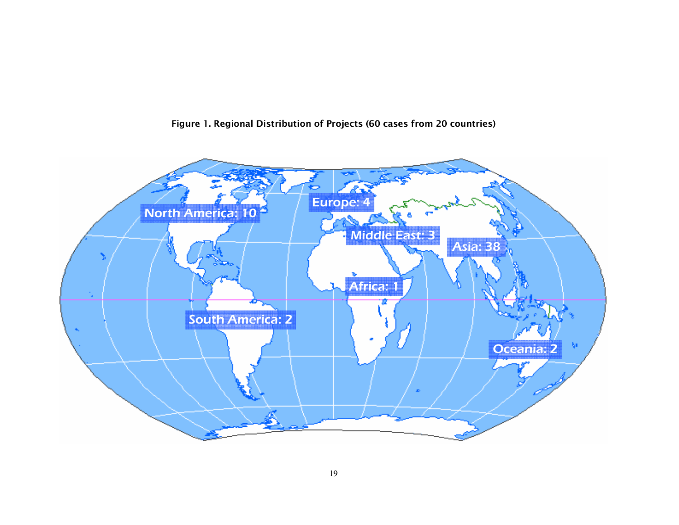

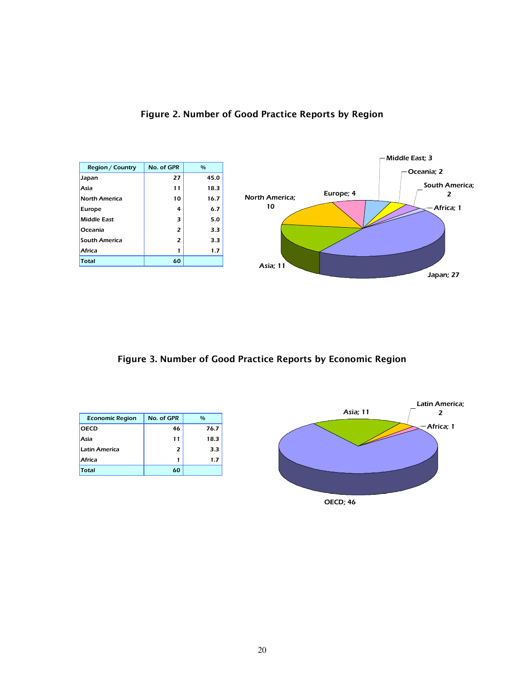

# Figure 2. Number of Good Practice Reports by Region

Figure 3. Number of Good Practice Reports by Economic Region

| <b>Economic Region</b> | No. of GPR | $\frac{0}{0}$ |
|------------------------|------------|---------------|
| <b>OECD</b>            | 46         | 76.7          |
| Asia                   | 11         | 18.3          |
| Latin America          | 2          | 3.3           |
| Africa                 |            | 1.7           |
| Total                  | 60         |               |

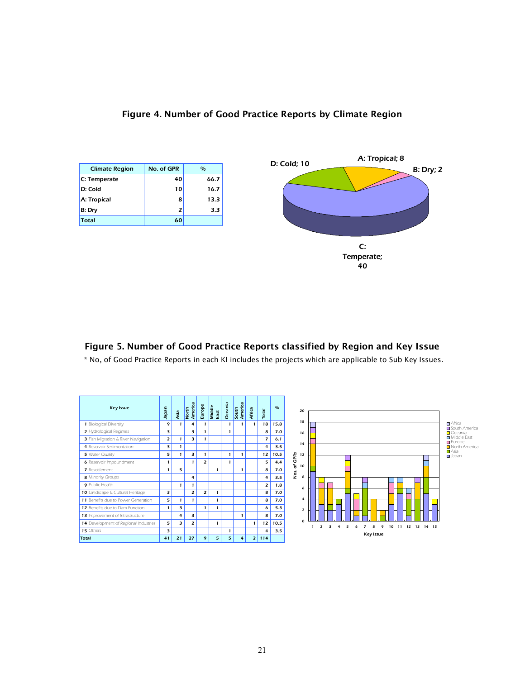

### Figure 4. Number of Good Practice Reports by Climate Region

### Figure 5. Number of Good Practice Reports classified by Region and Key Issue

\* No, of Good Practice Reports in each KI includes the projects which are applicable to Sub Key Issues.

|       | <b>Key Issue</b>                      | Japan          | Asia | America<br>North | Europe         | Middle<br>East | Oceania | South<br>America | Africa         | Total                    | 0/6  |
|-------|---------------------------------------|----------------|------|------------------|----------------|----------------|---------|------------------|----------------|--------------------------|------|
|       | 1 Biological Diversity                | 9              | 1    | 4                | 1              |                | 1       | 1                | 1              | 18                       | 15.8 |
|       | 2 Hydrological Regimes                | 3              |      | 3                | 1              |                | 1       |                  |                | 8                        | 7.0  |
|       | 3 Fish Migration & River Navigation   | $\overline{z}$ | 1    | 3                | 1              |                |         |                  |                | $\overline{\phantom{a}}$ | 6.1  |
|       | 4 Reservoir Sedimentation             | 3              | 1    |                  |                |                |         |                  |                | 4                        | 3.5  |
|       | 5 Water Quality                       | 5              | 1    | 3                | 1              |                | 1       | 1                |                | 12                       | 10.5 |
|       | 6 Reservoir Impoundment               | 1              |      | 1                | $\overline{z}$ |                | 1       |                  |                | 5                        | 4.4  |
|       | 7 Resettlement                        | 1              | 5    |                  |                | 1              |         | 1                |                | 8                        | 7.0  |
|       | <b>8</b> Minority Groups              |                |      | 4                |                |                |         |                  |                | 4                        | 3.5  |
|       | <b>9</b> Public Health                |                | 1    | 1                |                |                |         |                  |                | $\overline{z}$           | 1.8  |
|       | 10 Landscape & Cultural Heritage      | 3              |      | 2                | $\overline{z}$ | 1              |         |                  |                | 8                        | 7.0  |
|       | 11 Benefits due to Power Generation   | 5              | 1    | 1                |                | 1              |         |                  |                | 8                        | 7.0  |
|       | 12 Benefits due to Dam Function       | 1              | 3    |                  | 1              | 1              |         |                  |                | 6                        | 5.3  |
|       | 13 Improvement of Infrastructure      |                | 4    | 3                |                |                |         | 1                |                | 8                        | 7.0  |
|       | 14 Development of Regional Industries | 5              | 3    | $\overline{z}$   |                | 1              |         |                  | 1              | 12                       | 10.5 |
|       | 15 Others                             | з              |      |                  |                |                | 1       |                  |                | 4                        | 3.5  |
| Total |                                       | 41             | 21   | 27               | 9              | 5              | 5       | 4                | $\overline{z}$ | 114                      |      |

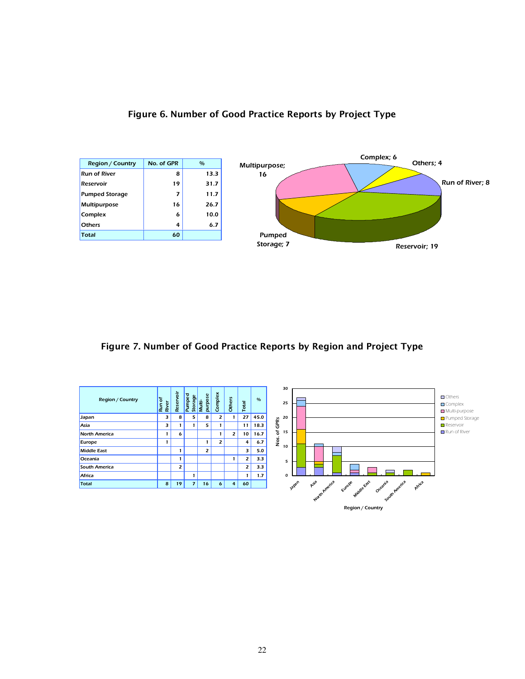



# Figure 7. Number of Good Practice Reports by Region and Project Type

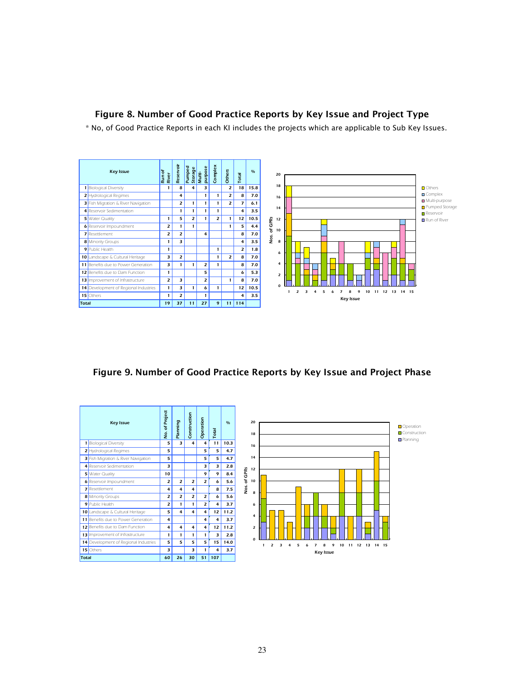### Figure 8. Number of Good Practice Reports by Key Issue and Project Type

\* No, of Good Practice Reports in each KI includes the projects which are applicable to Sub Key Issues.



Figure 9. Number of Good Practice Reports by Key Issue and Project Phase

|                | <b>Key Issue</b>                    | No. of Project | Planning       | Construction   | Operation      | Total | 0/6  |
|----------------|-------------------------------------|----------------|----------------|----------------|----------------|-------|------|
| 1              | <b>Biological Diversity</b>         | 5              | 3              | 4              | 4              | 11    | 10.3 |
| 2              | Hydrological Regimes                | 5              |                |                | 5              | 5     | 4.7  |
| з              | Fish Migration & River Navigation   | 5              |                |                | 5              | 5     | 4.7  |
| 4 <sup>1</sup> | Reservoir Sedimentation             | 3              |                |                | 3              | 3     | 2.8  |
| 5              | Water Quality                       | 10             |                |                | 9              | 9     | 8.4  |
|                | 6 Reservoir Impoundment             | $\overline{z}$ | $\overline{z}$ | $\overline{z}$ | $\overline{z}$ | 6     | 5.6  |
| 7              | Resettlement                        | 4              | 4              | 4              |                | 8     | 7.5  |
|                | <b>8</b> Minority Groups            | $\overline{z}$ | $\overline{z}$ | $\overline{z}$ | $\overline{z}$ | 6     | 5.6  |
|                | 9 Public Health                     | $\overline{z}$ | 1              | 1              | $\overline{z}$ | 4     | 3.7  |
|                | 10 Landscape & Cultural Heritage    | 5              | 4              | 4              | 4              | 12    | 11.2 |
|                | 11 Benefits due to Power Generation | 4              |                |                | 4              | 4     | 3.7  |
|                | 12 Benefits due to Dam Function     | 4              | 4              | 4              | 4              | 12    | 11.2 |
| 13             | Improvement of Infrastructure       | 1              | 1              | 1              | 1              | 3     | 2.8  |
| 14             | Development of Regional Industries  | 5              | 5              | 5              | 5              | 15    | 14.0 |
|                | 15 Others                           | 3              |                | 3              | 1              | 4     | 3.7  |
| Total          |                                     | 60             | 26             | 30             | 51             | 107   |      |